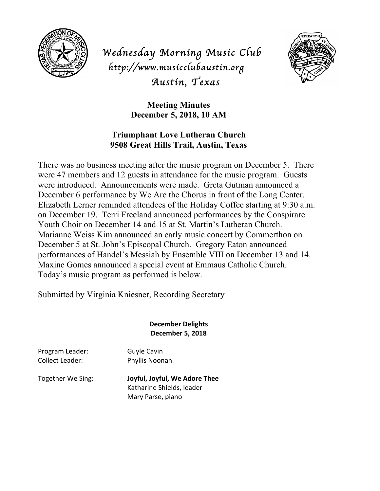

*Wednesday Morning Music Club http://www.musicclubaustin.org Austin, Texas* 



**Meeting Minutes December 5, 2018, 10 AM**

## **Triumphant Love Lutheran Church 9508 Great Hills Trail, Austin, Texas**

There was no business meeting after the music program on December 5. There were 47 members and 12 guests in attendance for the music program. Guests were introduced. Announcements were made. Greta Gutman announced a December 6 performance by We Are the Chorus in front of the Long Center. Elizabeth Lerner reminded attendees of the Holiday Coffee starting at 9:30 a.m. on December 19. Terri Freeland announced performances by the Conspirare Youth Choir on December 14 and 15 at St. Martin's Lutheran Church. Marianne Weiss Kim announced an early music concert by Commerthon on December 5 at St. John's Episcopal Church. Gregory Eaton announced performances of Handel's Messiah by Ensemble VIII on December 13 and 14. Maxine Gomes announced a special event at Emmaus Catholic Church. Today's music program as performed is below.

Submitted by Virginia Kniesner, Recording Secretary

## **December Delights December 5, 2018**

Program Leader: Guyle Cavin Collect Leader: Phyllis Noonan

Together We Sing: **Joyful, Joyful, We Adore Thee** Katharine Shields, leader Mary Parse, piano